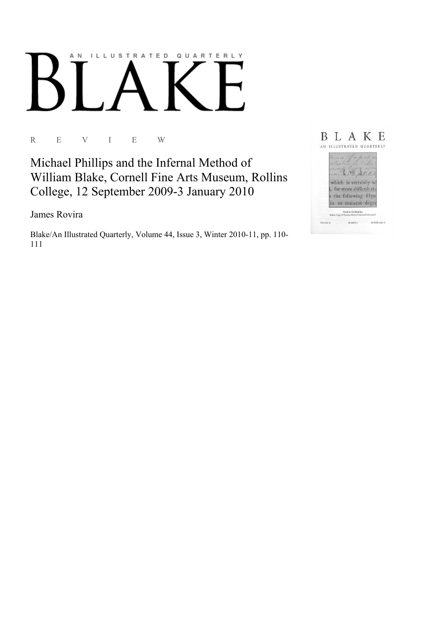## AN ILLUSTRATED QUARTERLY

R E V I E W

Michael Phillips and the Infernal Method of William Blake, Cornell Fine Arts Museum, Rollins College, 12 September 2009-3 January 2010

James Rovira

Blake/An Illustrated Quarterly, Volume 44, Issue 3, Winter 2010-11, pp. 110-111

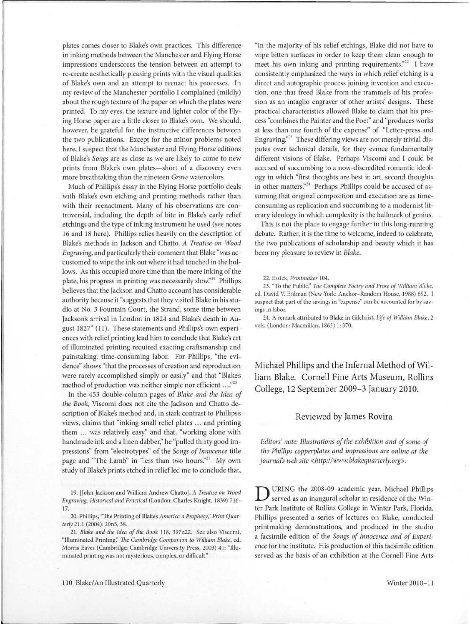plates comes closer to Blake's own practices. This difference in inking methods between the Manchester and Flying Horse impressions underscores the tension between an attempt to re-create aesthetically pleasing prints with the visual qualities of Blake's own and an attempt to reenact his processes. In my review of the Manchester portfolio I complained (mildly) about the rough texture of the paper on which the plates were printed. To my eyes, the texture and lighter color of the Flying Horse paper are a little closer to Blake's own. We should, however, be grateful for the instructive differences between the two publications. Except for the minor problems noted here, I suspect that the Manchester and Flying Horse editions of Blake's *Songs* are as close as we are likely to come to new prints from Blake's own plates-short of a discovery even more breathtaking than the nineteen *Grave* watercolors.

Much of Phillips's essay in the Flying Horse portfolio deals with Blake's own etching and printing methods rather than with their reenactment. Many of his observations are controversial, including the depth of bite in Blake's early relief etchings and the type of inking instrument he used (see notes 16 and 18 here). Phillips relies heavily on the description of Blake's methods in Jackson and Chatto, *A Treatise on Wood Engraving,* and particularly their comment that Blake "was accustomed to wipe the ink out where it had touched in the hollows. As this occupied more time than the mere inking of the plate, his progress in printing was necessarily slow."<sup>19</sup> Phillips believes that the Jackson and Chatto account has considerable authority because it "suggests that they visited Blake in his studio at No. 3 Fountain Court, the Strand, some time between Jackson's arrival in London in 1824 and Blake's death in August 1827" (11). These statements and Phillips's own experiences with relief printing lead him to conclude that Blake's art of illuminated printing required exacting craftsmanship and painstaking, time-consuming labor. For Phillips, "the evidence" shows "that the processes of creation and reproduction were rarely accomplished simply or easily" and that "Blake's method of production was neither simple nor efficient ... *:'<sup>20</sup>*

In the 453 double-column pages of *Blake and the Idea of the Book,* Viscomi does not cite the Jackson and Chatto description of Blake's method and, in stark contrast to Phillips's views, claims that "inking small relief plates ... and printing them ... was relatively easy" and that, "working alone with handmade ink and a linen dabber," he "pulled thirty good impressions" from "electrotypes" of the *Songs of Innocence* title page and "The Lamb" in "less than two hours."<sup>21</sup> My own study of Blake's prints etched in relief led me to conclude that,

19. [John Jackson and William Andrew Chatto], *A Treatise on Wood Engraving, Historical and Practical* (London: Charles Knight, 1839) 716- 17.

20. Phillips, "The Printing of Blake's *America a Prophecy;' Print Quarterly* 21.1 (2004): 20n5, 38.

21. *Blake and the Idea of the Book* ll8, 397n22. See also Viscomi, "Illuminated Printing;' The *Cambridge Companion to William Blake,* ed. Morris Eaves (Cambridge: Cambridge University Press, 2003) 41: "Illuminated printing was not mysterious, complex, or difficult."

"in the majority of his relief etchings, Blake did not have to wipe bitten surfaces in order to keep them clean enough to meet his own inking and printing requirements.<sup>"22</sup> I have consistently emphasized the ways in which relief etching is a direct and autographic process joining invention and execution, one that freed Blake from the trammels of his profession as an intaglio engraver of other artists' designs. These practical characteristics allowed Blake to claim that his process "combines the Painter and the Poet" and "produces works at less than one fourth of the expense" of "Letter-press and Engraving. $^{23}$  These differing views are not merely trivial disputes over technical details, for they evince fundamentally different visions of Blake. Perhaps Viscomi and I could be accused of succumbing to a now-discredited romantic ideology in which "first thoughts are best in art, second thoughts in other matters."<sup>24</sup> Perhaps Phillips could be accused of assuming that original composition and execution are as timeconsuming as replication and succumbing to a modernist literary ideology in which complexity is the hallmark of genius.

This is not the place to engage further in this long-running debate. Rather, it is the time to welcome, indeed to celebrate, the two publications of scholarship and beauty which it has been my pleasure to review in *Blake.* 

## 22. Essick, *Printmaker* 104.

23. "To the Public;' *T11e Complete Poetry and Prose of William Blake,*  ed. David V. Erdman (New York: Anchor-Random House, 1988) 692. I suspect that part of the savings in "expense" can be accounted for by savings in labor.

24. A remark attributed to Blake in Gilchrist, *Life of William Blake,* 2 vols. (London: Macmillan, 1863) 1: 370.

Michael Phillips and the Infernal Method of William Blake. Cornell Fine Arts Museum, Rollins College, 12 September 2009-3 January 2010.

## Reviewed by James Rovira

*Editors' note: Illustrations of the exhibition and of some of the Phillips copperplates and impressions are online at the journal's web site <http://www.blakequarterly.org>.* 

D URING the 2008-09 academic year, Michael Phillips served as an inaugural scholar in residence of the Winter Park Institute of Rollins College in Winter Park, Florida. Phillips presented a series of lectures on Blake, conducted printmaking demonstrations, and produced in the studio a facsimile edition of the *Songs of Innocence and of Experience* for the institute. His production of this facsimile edition served as the basis of an exhibition at the Cornell Fine Arts